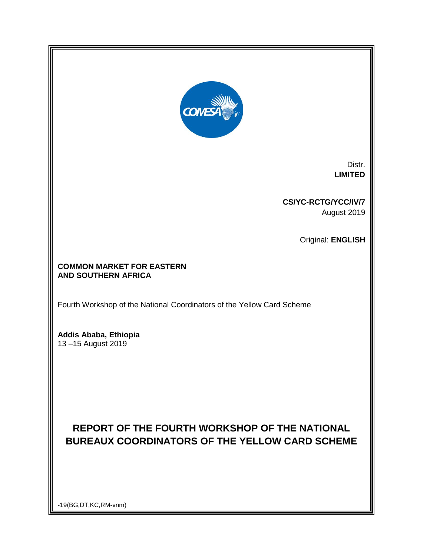

Distr. **LIMITED**

**CS/YC-RCTG/YCC/IV/7** August 2019

Original: **ENGLISH**

# **COMMON MARKET FOR EASTERN AND SOUTHERN AFRICA**

Fourth Workshop of the National Coordinators of the Yellow Card Scheme

**Addis Ababa, Ethiopia** 13 –15 August 2019

# **REPORT OF THE FOURTH WORKSHOP OF THE NATIONAL BUREAUX COORDINATORS OF THE YELLOW CARD SCHEME**

-19(BG,DT,KC,RM-vnm)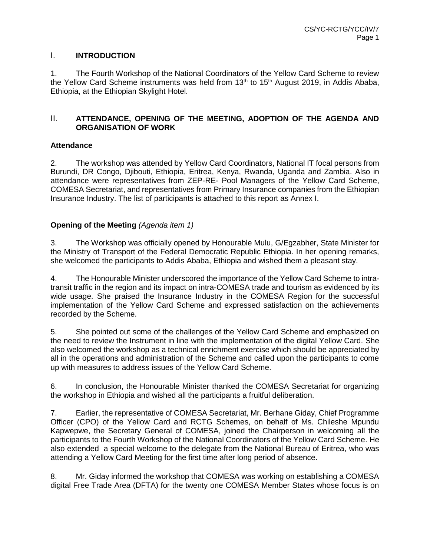# I. **INTRODUCTION**

1. The Fourth Workshop of the National Coordinators of the Yellow Card Scheme to review the Yellow Card Scheme instruments was held from 13<sup>th</sup> to 15<sup>th</sup> August 2019, in Addis Ababa, Ethiopia, at the Ethiopian Skylight Hotel.

# II. **ATTENDANCE, OPENING OF THE MEETING, ADOPTION OF THE AGENDA AND ORGANISATION OF WORK**

# **Attendance**

2. The workshop was attended by Yellow Card Coordinators, National IT focal persons from Burundi, DR Congo, Djibouti, Ethiopia, Eritrea, Kenya, Rwanda, Uganda and Zambia. Also in attendance were representatives from ZEP-RE- Pool Managers of the Yellow Card Scheme, COMESA Secretariat, and representatives from Primary Insurance companies from the Ethiopian Insurance Industry. The list of participants is attached to this report as Annex I.

# **Opening of the Meeting** *(Agenda item 1)*

3. The Workshop was officially opened by Honourable Mulu, G/Egzabher, State Minister for the Ministry of Transport of the Federal Democratic Republic Ethiopia. In her opening remarks, she welcomed the participants to Addis Ababa, Ethiopia and wished them a pleasant stay.

4. The Honourable Minister underscored the importance of the Yellow Card Scheme to intratransit traffic in the region and its impact on intra-COMESA trade and tourism as evidenced by its wide usage. She praised the Insurance Industry in the COMESA Region for the successful implementation of the Yellow Card Scheme and expressed satisfaction on the achievements recorded by the Scheme.

5. She pointed out some of the challenges of the Yellow Card Scheme and emphasized on the need to review the Instrument in line with the implementation of the digital Yellow Card. She also welcomed the workshop as a technical enrichment exercise which should be appreciated by all in the operations and administration of the Scheme and called upon the participants to come up with measures to address issues of the Yellow Card Scheme.

6. In conclusion, the Honourable Minister thanked the COMESA Secretariat for organizing the workshop in Ethiopia and wished all the participants a fruitful deliberation.

7. Earlier, the representative of COMESA Secretariat, Mr. Berhane Giday, Chief Programme Officer (CPO) of the Yellow Card and RCTG Schemes, on behalf of Ms. Chileshe Mpundu Kapwepwe, the Secretary General of COMESA, joined the Chairperson in welcoming all the participants to the Fourth Workshop of the National Coordinators of the Yellow Card Scheme. He also extended a special welcome to the delegate from the National Bureau of Eritrea, who was attending a Yellow Card Meeting for the first time after long period of absence.

8. Mr. Giday informed the workshop that COMESA was working on establishing a COMESA digital Free Trade Area (DFTA) for the twenty one COMESA Member States whose focus is on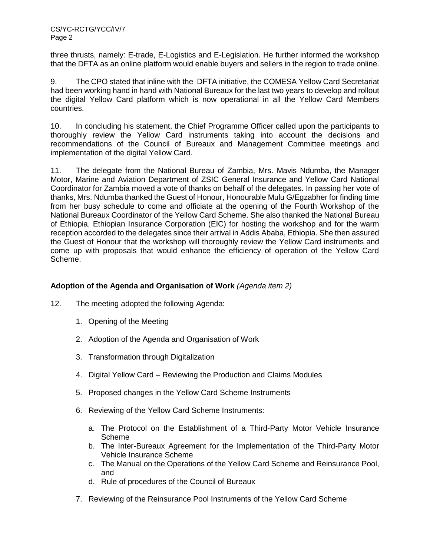three thrusts, namely: E-trade, E-Logistics and E-Legislation. He further informed the workshop that the DFTA as an online platform would enable buyers and sellers in the region to trade online.

9. The CPO stated that inline with the DFTA initiative, the COMESA Yellow Card Secretariat had been working hand in hand with National Bureaux for the last two years to develop and rollout the digital Yellow Card platform which is now operational in all the Yellow Card Members countries.

10. In concluding his statement, the Chief Programme Officer called upon the participants to thoroughly review the Yellow Card instruments taking into account the decisions and recommendations of the Council of Bureaux and Management Committee meetings and implementation of the digital Yellow Card.

11. The delegate from the National Bureau of Zambia, Mrs. Mavis Ndumba, the Manager Motor, Marine and Aviation Department of ZSIC General Insurance and Yellow Card National Coordinator for Zambia moved a vote of thanks on behalf of the delegates. In passing her vote of thanks, Mrs. Ndumba thanked the Guest of Honour, Honourable Mulu G/Egzabher for finding time from her busy schedule to come and officiate at the opening of the Fourth Workshop of the National Bureaux Coordinator of the Yellow Card Scheme. She also thanked the National Bureau of Ethiopia, Ethiopian Insurance Corporation (EIC) for hosting the workshop and for the warm reception accorded to the delegates since their arrival in Addis Ababa, Ethiopia. She then assured the Guest of Honour that the workshop will thoroughly review the Yellow Card instruments and come up with proposals that would enhance the efficiency of operation of the Yellow Card Scheme.

# **Adoption of the Agenda and Organisation of Work** *(Agenda item 2)*

- 12. The meeting adopted the following Agenda:
	- 1. Opening of the Meeting
	- 2. Adoption of the Agenda and Organisation of Work
	- 3. Transformation through Digitalization
	- 4. Digital Yellow Card Reviewing the Production and Claims Modules
	- 5. Proposed changes in the Yellow Card Scheme Instruments
	- 6. Reviewing of the Yellow Card Scheme Instruments:
		- a. The Protocol on the Establishment of a Third-Party Motor Vehicle Insurance Scheme
		- b. The Inter-Bureaux Agreement for the Implementation of the Third-Party Motor Vehicle Insurance Scheme
		- c. The Manual on the Operations of the Yellow Card Scheme and Reinsurance Pool, and
		- d. Rule of procedures of the Council of Bureaux
	- 7. Reviewing of the Reinsurance Pool Instruments of the Yellow Card Scheme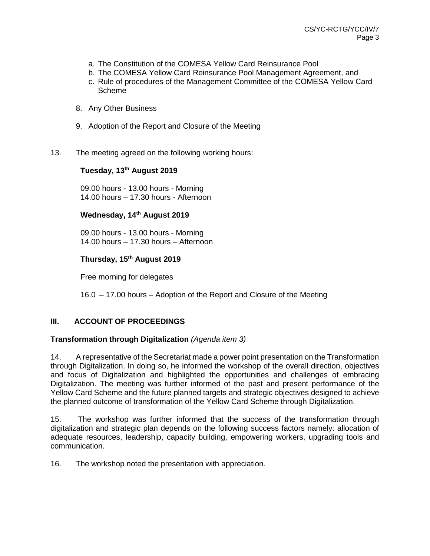- a. The Constitution of the COMESA Yellow Card Reinsurance Pool
- b. The COMESA Yellow Card Reinsurance Pool Management Agreement, and
- c. Rule of procedures of the Management Committee of the COMESA Yellow Card Scheme
- 8. Any Other Business
- 9. Adoption of the Report and Closure of the Meeting
- 13. The meeting agreed on the following working hours:

# **Tuesday, 13th August 2019**

09.00 hours - 13.00 hours - Morning 14.00 hours – 17.30 hours - Afternoon

#### **Wednesday, 14th August 2019**

09.00 hours - 13.00 hours - Morning 14.00 hours – 17.30 hours – Afternoon

# **Thursday, 15th August 2019**

Free morning for delegates

16.0 – 17.00 hours – Adoption of the Report and Closure of the Meeting

# **III. ACCOUNT OF PROCEEDINGS**

#### **Transformation through Digitalization** *(Agenda item 3)*

14. A representative of the Secretariat made a power point presentation on the Transformation through Digitalization. In doing so, he informed the workshop of the overall direction, objectives and focus of Digitalization and highlighted the opportunities and challenges of embracing Digitalization. The meeting was further informed of the past and present performance of the Yellow Card Scheme and the future planned targets and strategic objectives designed to achieve the planned outcome of transformation of the Yellow Card Scheme through Digitalization.

15. The workshop was further informed that the success of the transformation through digitalization and strategic plan depends on the following success factors namely: allocation of adequate resources, leadership, capacity building, empowering workers, upgrading tools and communication.

16. The workshop noted the presentation with appreciation.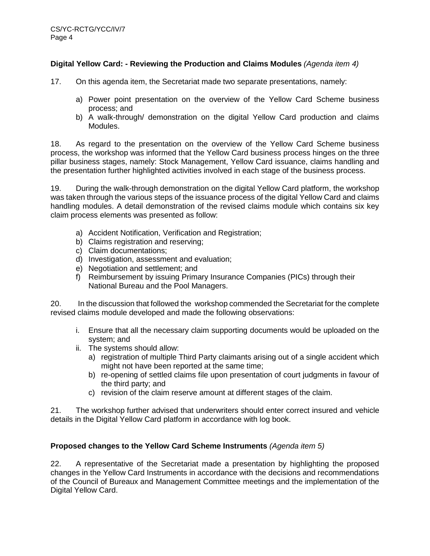# **Digital Yellow Card: - Reviewing the Production and Claims Modules** *(Agenda item 4)*

- 17. On this agenda item, the Secretariat made two separate presentations, namely:
	- a) Power point presentation on the overview of the Yellow Card Scheme business process; and
	- b) A walk-through/ demonstration on the digital Yellow Card production and claims Modules.

18. As regard to the presentation on the overview of the Yellow Card Scheme business process, the workshop was informed that the Yellow Card business process hinges on the three pillar business stages, namely: Stock Management, Yellow Card issuance, claims handling and the presentation further highlighted activities involved in each stage of the business process.

19. During the walk-through demonstration on the digital Yellow Card platform, the workshop was taken through the various steps of the issuance process of the digital Yellow Card and claims handling modules. A detail demonstration of the revised claims module which contains six key claim process elements was presented as follow:

- a) Accident Notification, Verification and Registration;
- b) Claims registration and reserving;
- c) Claim documentations;
- d) Investigation, assessment and evaluation;
- e) Negotiation and settlement; and
- f) Reimbursement by issuing Primary Insurance Companies (PICs) through their National Bureau and the Pool Managers.

20. In the discussion that followed the workshop commended the Secretariat for the complete revised claims module developed and made the following observations:

- i. Ensure that all the necessary claim supporting documents would be uploaded on the system; and
- ii. The systems should allow:
	- a) registration of multiple Third Party claimants arising out of a single accident which might not have been reported at the same time;
	- b) re-opening of settled claims file upon presentation of court judgments in favour of the third party; and
	- c) revision of the claim reserve amount at different stages of the claim.

21. The workshop further advised that underwriters should enter correct insured and vehicle details in the Digital Yellow Card platform in accordance with log book.

#### **Proposed changes to the Yellow Card Scheme Instruments** *(Agenda item 5)*

22. A representative of the Secretariat made a presentation by highlighting the proposed changes in the Yellow Card Instruments in accordance with the decisions and recommendations of the Council of Bureaux and Management Committee meetings and the implementation of the Digital Yellow Card.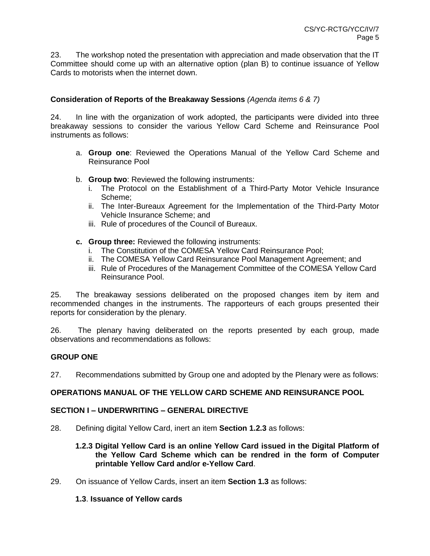23. The workshop noted the presentation with appreciation and made observation that the IT Committee should come up with an alternative option (plan B) to continue issuance of Yellow Cards to motorists when the internet down.

#### **Consideration of Reports of the Breakaway Sessions** *(Agenda items 6 & 7)*

24. In line with the organization of work adopted, the participants were divided into three breakaway sessions to consider the various Yellow Card Scheme and Reinsurance Pool instruments as follows:

- a. **Group one**: Reviewed the Operations Manual of the Yellow Card Scheme and Reinsurance Pool
- b. **Group two**: Reviewed the following instruments:
	- i. The Protocol on the Establishment of a Third-Party Motor Vehicle Insurance Scheme;
	- ii. The Inter-Bureaux Agreement for the Implementation of the Third-Party Motor Vehicle Insurance Scheme; and
	- iii. Rule of procedures of the Council of Bureaux.
- **c. Group three:** Reviewed the following instruments:
	- i. The Constitution of the COMESA Yellow Card Reinsurance Pool;
	- ii. The COMESA Yellow Card Reinsurance Pool Management Agreement; and
	- iii. Rule of Procedures of the Management Committee of the COMESA Yellow Card Reinsurance Pool.

25. The breakaway sessions deliberated on the proposed changes item by item and recommended changes in the instruments. The rapporteurs of each groups presented their reports for consideration by the plenary.

26. The plenary having deliberated on the reports presented by each group, made observations and recommendations as follows:

#### **GROUP ONE**

27. Recommendations submitted by Group one and adopted by the Plenary were as follows:

#### **OPERATIONS MANUAL OF THE YELLOW CARD SCHEME AND REINSURANCE POOL**

#### **SECTION I – UNDERWRITING – GENERAL DIRECTIVE**

28. Defining digital Yellow Card, inert an item **Section 1.2.3** as follows:

#### **1.2.3 Digital Yellow Card is an online Yellow Card issued in the Digital Platform of the Yellow Card Scheme which can be rendred in the form of Computer printable Yellow Card and/or e-Yellow Card**.

29. On issuance of Yellow Cards, insert an item **Section 1.3** as follows:

#### **1.3**. **Issuance of Yellow cards**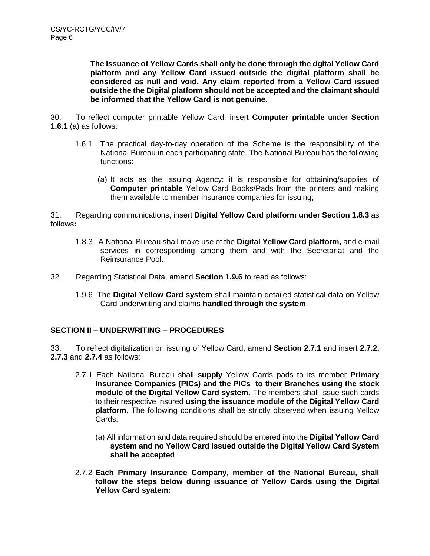**The issuance of Yellow Cards shall only be done through the dgital Yellow Card platform and any Yellow Card issued outside the digital platform shall be considered as null and void. Any claim reported from a Yellow Card issued outside the the Digital platform should not be accepted and the claimant should be informed that the Yellow Card is not genuine.**

30. To reflect computer printable Yellow Card, insert **Computer printable** under **Section 1.6.1** (a) as follows:

- 1.6.1 The practical day-to-day operation of the Scheme is the responsibility of the National Bureau in each participating state. The National Bureau has the following functions:
	- (a) It acts as the Issuing Agency: it is responsible for obtaining/supplies of **Computer printable** Yellow Card Books/Pads from the printers and making them available to member insurance companies for issuing;

31. Regarding communications, insert **Digital Yellow Card platform under Section 1.8.3** as follows**:**

- 1.8.3 A National Bureau shall make use of the **Digital Yellow Card platform,** and e-mail services in corresponding among them and with the Secretariat and the Reinsurance Pool.
- 32. Regarding Statistical Data, amend **Section 1.9.6** to read as follows:
	- 1.9.6 The **Digital Yellow Card system** shall maintain detailed statistical data on Yellow Card underwriting and claims **handled through the system**.

# **SECTION II – UNDERWRITING – PROCEDURES**

33. To reflect digitalization on issuing of Yellow Card, amend **Section 2.7.1** and insert **2.7.2, 2.7.3** and **2.7.4** as follows:

- 2.7.1 Each National Bureau shall **supply** Yellow Cards pads to its member **Primary Insurance Companies (PICs) and the PICs to their Branches using the stock module of the Digital Yellow Card system.** The members shall issue such cards to their respective insured **using the issuance module of the Digital Yellow Card platform.** The following conditions shall be strictly observed when issuing Yellow Cards:
	- (a) All information and data required should be entered into the **Digital Yellow Card system and no Yellow Card issued outside the Digital Yellow Card System shall be accepted**
- 2.7.2 **Each Primary Insurance Company, member of the National Bureau, shall follow the steps below during issuance of Yellow Cards using the Digital Yellow Card syatem:**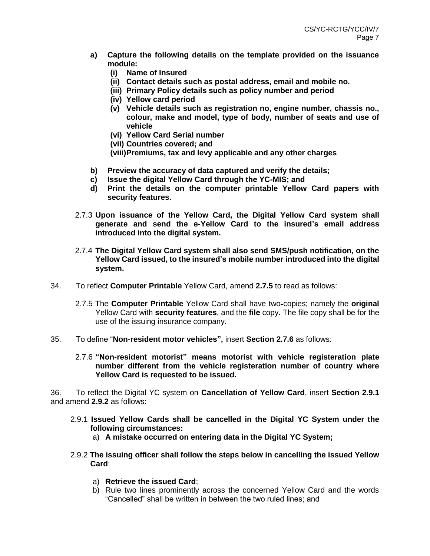- **a) Capture the following details on the template provided on the issuance module:**
	- **(i) Name of Insured**
	- **(ii) Contact details such as postal address, email and mobile no.**
	- **(iii) Primary Policy details such as policy number and period**
	- **(iv) Yellow card period**
	- **(v) Vehicle details such as registration no, engine number, chassis no., colour, make and model, type of body, number of seats and use of vehicle**
	- **(vi) Yellow Card Serial number**
	- **(vii) Countries covered; and**

**(viii)Premiums, tax and levy applicable and any other charges**

- **b) Preview the accuracy of data captured and verify the details;**
- **c) Issue the digital Yellow Card through the YC-MIS; and**
- **d) Print the details on the computer printable Yellow Card papers with security features.**
- 2.7.3 **Upon issuance of the Yellow Card, the Digital Yellow Card system shall generate and send the e-Yellow Card to the insured's email address introduced into the digital system***.*
- 2.7.4 **The Digital Yellow Card system shall also send SMS/push notification, on the Yellow Card issued, to the insured's mobile number introduced into the digital system.**
- 34. To reflect **Computer Printable** Yellow Card, amend **2.7.5** to read as follows:
	- 2.7.5 The **Computer Printable** Yellow Card shall have two copies; namely the **original** Yellow Card with **security features**, and the **file** copy. The file copy shall be for the use of the issuing insurance company.
- 35. To define "**Non-resident motor vehicles",** insert **Section 2.7.6** as follows:
	- 2.7.6 **"Non-resident motorist" means motorist with vehicle registeration plate number different from the vehicle registeration number of country where Yellow Card is requested to be issued.**

36. To reflect the Digital YC system on **Cancellation of Yellow Card**, insert **Section 2.9.1**  and amend **2.9.2** as follows:

- 2.9.1 **Issued Yellow Cards shall be cancelled in the Digital YC System under the following circumstances:**
	- a) **A mistake occurred on entering data in the Digital YC System;**
- 2.9.2 **The issuing officer shall follow the steps below in cancelling the issued Yellow Card**:
	- a) **Retrieve the issued Card**;
	- b) Rule two lines prominently across the concerned Yellow Card and the words "Cancelled" shall be written in between the two ruled lines; and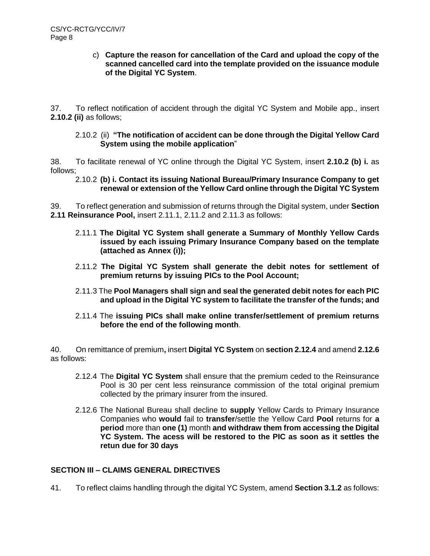#### c) **Capture the reason for cancellation of the Card and upload the copy of the scanned cancelled card into the template provided on the issuance module of the Digital YC System**.

37. To reflect notification of accident through the digital YC System and Mobile app., insert **2.10.2 (ii)** as follows;

#### 2.10.2 (ii) **"The notification of accident can be done through the Digital Yellow Card System using the mobile application**"

38. To facilitate renewal of YC online through the Digital YC System, insert **2.10.2 (b) i.** as follows;

#### 2.10.2 **(b) i. Contact its issuing National Bureau/Primary Insurance Company to get renewal or extension of the Yellow Card online through the Digital YC System**

39. To reflect generation and submission of returns through the Digital system, under **Section 2.11 Reinsurance Pool,** insert 2.11.1, 2.11.2 and 2.11.3 as follows:

- 2.11.1 **The Digital YC System shall generate a Summary of Monthly Yellow Cards issued by each issuing Primary Insurance Company based on the template (attached as Annex (i));**
- 2.11.2 **The Digital YC System shall generate the debit notes for settlement of premium returns by issuing PICs to the Pool Account;**
- 2.11.3 The **Pool Managers shall sign and seal the generated debit notes for each PIC and upload in the Digital YC system to facilitate the transfer of the funds; and**
- 2.11.4 The **issuing PICs shall make online transfer/settlement of premium returns before the end of the following month**.

40. On remittance of premium**,** insert **Digital YC System** on **section 2.12.4** and amend **2.12.6** as follows:

- 2.12.4 The **Digital YC System** shall ensure that the premium ceded to the Reinsurance Pool is 30 per cent less reinsurance commission of the total original premium collected by the primary insurer from the insured.
- 2.12.6 The National Bureau shall decline to **supply** Yellow Cards to Primary Insurance Companies who **would** fail to **transfer**/settle the Yellow Card **Pool** returns for **a period** more than **one (1)** month **and withdraw them from accessing the Digital YC System. The acess will be restored to the PIC as soon as it settles the retun due for 30 days**

# **SECTION III – CLAIMS GENERAL DIRECTIVES**

41. To reflect claims handling through the digital YC System, amend **Section 3.1.2** as follows: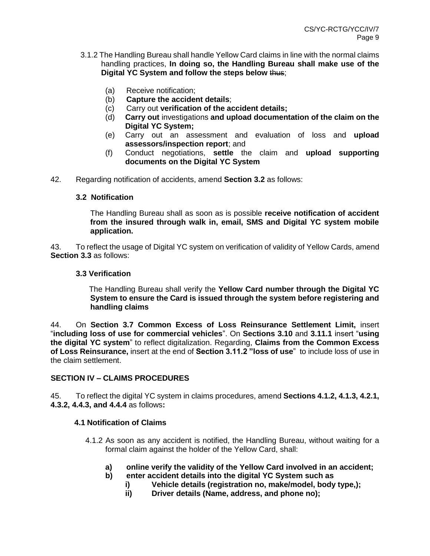- 3.1.2 The Handling Bureau shall handle Yellow Card claims in line with the normal claims handling practices, **In doing so, the Handling Bureau shall make use of the Digital YC System and follow the steps below** thus;
	- (a) Receive notification;
	- (b) **Capture the accident details**;
	- (c) Carry out **verification of the accident details;**
	- (d) **Carry out** investigations **and upload documentation of the claim on the Digital YC System;**
	- (e) Carry out an assessment and evaluation of loss and **upload assessors/inspection report**; and
	- (f) Conduct negotiations, **settle** the claim and **upload supporting documents on the Digital YC System**
- 42. Regarding notification of accidents, amend **Section 3.2** as follows:

#### **3.2 Notification**

The Handling Bureau shall as soon as is possible **receive notification of accident from the insured through walk in, email, SMS and Digital YC system mobile application.**

43. To reflect the usage of Digital YC system on verification of validity of Yellow Cards, amend **Section 3.3** as follows:

#### **3.3 Verification**

 The Handling Bureau shall verify the **Yellow Card number through the Digital YC System to ensure the Card is issued through the system before registering and handling claims**

44. On **Section 3.7 Common Excess of Loss Reinsurance Settlement Limit,** insert "**including loss of use for commercial vehicles**". On **Sections 3.10** and **3.11.1** insert "**using the digital YC system**" to reflect digitalization. Regarding, **Claims from the Common Excess of Loss Reinsurance,** insert at the end of **Section 3.11.2 "loss of use**" to include loss of use in the claim settlement.

# **SECTION IV – CLAIMS PROCEDURES**

45. To reflect the digital YC system in claims procedures, amend **Sections 4.1.2, 4.1.3, 4.2.1, 4.3.2, 4.4.3, and 4.4.4** as follows**:**

# **4.1 Notification of Claims**

- 4.1.2 As soon as any accident is notified, the Handling Bureau, without waiting for a formal claim against the holder of the Yellow Card, shall:
	- **a) online verify the validity of the Yellow Card involved in an accident;**
	- **b) enter accident details into the digital YC System such as**
		- **i) Vehicle details (registration no, make/model, body type,);**
		- **ii) Driver details (Name, address, and phone no);**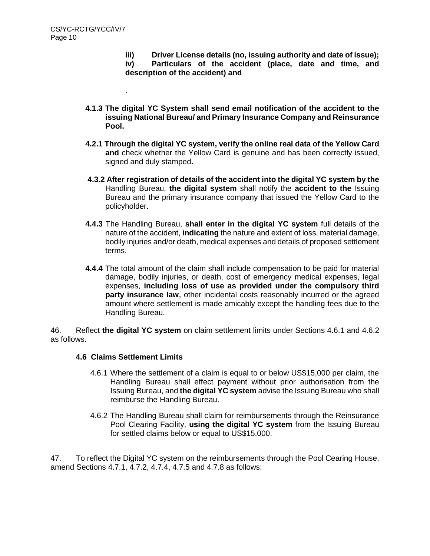.

**iii) Driver License details (no, issuing authority and date of issue);** 

**iv) Particulars of the accident (place, date and time, and description of the accident) and**

- **4.1.3 The digital YC System shall send email notification of the accident to the issuing National Bureau/ and Primary Insurance Company and Reinsurance Pool.**
- **4.2.1 Through the digital YC system, verify the online real data of the Yellow Card and** check whether the Yellow Card is genuine and has been correctly issued, signed and duly stamped**.**
- **4.3.2 After registration of details of the accident into the digital YC system by the** Handling Bureau, **the digital system** shall notify the **accident to the** Issuing Bureau and the primary insurance company that issued the Yellow Card to the policyholder.
- **4.4.3** The Handling Bureau, **shall enter in the digital YC system** full details of the nature of the accident, **indicating** the nature and extent of loss, material damage, bodily injuries and/or death, medical expenses and details of proposed settlement terms.
- **4.4.4** The total amount of the claim shall include compensation to be paid for material damage, bodily injuries, or death, cost of emergency medical expenses, legal expenses, **including loss of use as provided under the compulsory third party insurance law,** other incidental costs reasonably incurred or the agreed amount where settlement is made amicably except the handling fees due to the Handling Bureau.

46. Reflect **the digital YC system** on claim settlement limits under Sections 4.6.1 and 4.6.2 as follows.

# **4.6 Claims Settlement Limits**

- 4.6.1 Where the settlement of a claim is equal to or below US\$15,000 per claim, the Handling Bureau shall effect payment without prior authorisation from the Issuing Bureau, and **the digital YC system** advise the Issuing Bureau who shall reimburse the Handling Bureau.
- 4.6.2 The Handling Bureau shall claim for reimbursements through the Reinsurance Pool Clearing Facility, **using the digital YC system** from the Issuing Bureau for settled claims below or equal to US\$15,000.

47. To reflect the Digital YC system on the reimbursements through the Pool Cearing House, amend Sections 4.7.1, 4.7.2, 4.7.4, 4.7.5 and 4.7.8 as follows: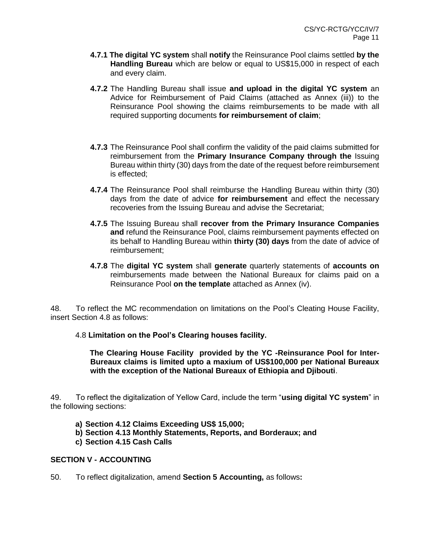- **4.7.1 The digital YC system** shall **notify** the Reinsurance Pool claims settled **by the Handling Bureau** which are below or equal to US\$15,000 in respect of each and every claim.
- **4.7.2** The Handling Bureau shall issue **and upload in the digital YC system** an Advice for Reimbursement of Paid Claims (attached as Annex (iii)) to the Reinsurance Pool showing the claims reimbursements to be made with all required supporting documents **for reimbursement of claim**;
- **4.7.3** The Reinsurance Pool shall confirm the validity of the paid claims submitted for reimbursement from the **Primary Insurance Company through the** Issuing Bureau within thirty (30) days from the date of the request before reimbursement is effected;
- **4.7.4** The Reinsurance Pool shall reimburse the Handling Bureau within thirty (30) days from the date of advice **for reimbursement** and effect the necessary recoveries from the Issuing Bureau and advise the Secretariat;
- **4.7.5** The Issuing Bureau shall **recover from the Primary Insurance Companies and** refund the Reinsurance Pool, claims reimbursement payments effected on its behalf to Handling Bureau within **thirty (30) days** from the date of advice of reimbursement;
- **4.7.8** The **digital YC system** shall **generate** quarterly statements of **accounts on** reimbursements made between the National Bureaux for claims paid on a Reinsurance Pool **on the template** attached as Annex (iv).

48. To reflect the MC recommendation on limitations on the Pool's Cleating House Facility, insert Section 4.8 as follows:

4.8 **Limitation on the Pool's Clearing houses facility.**

 **The Clearing House Facility provided by the YC -Reinsurance Pool for Inter-Bureaux claims is limited upto a maxium of US\$100,000 per National Bureaux with the exception of the National Bureaux of Ethiopia and Djibouti**.

49. To reflect the digitalization of Yellow Card, include the term "**using digital YC system**" in the following sections:

- **a) Section 4.12 Claims Exceeding US\$ 15,000;**
- **b) Section 4.13 Monthly Statements, Reports, and Borderaux; and**
- **c) Section 4.15 Cash Calls**

#### **SECTION V - ACCOUNTING**

50. To reflect digitalization, amend **Section 5 Accounting,** as follows**:**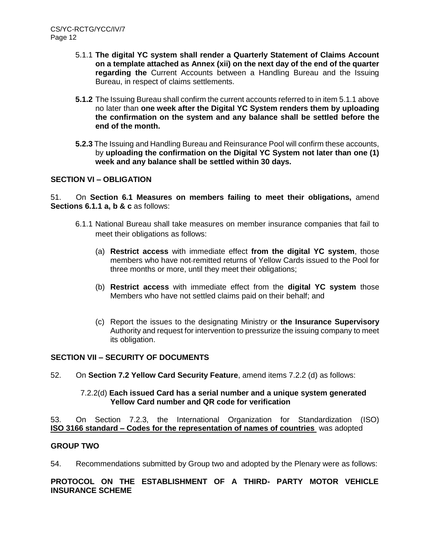- 5.1.1 **The digital YC system shall render a Quarterly Statement of Claims Account on a template attached as Annex (xii) on the next day of the end of the quarter regarding the** Current Accounts between a Handling Bureau and the Issuing Bureau, in respect of claims settlements.
- **5.1.2** The Issuing Bureau shall confirm the current accounts referred to in item 5.1.1 above no later than **one week after the Digital YC System renders them by uploading the confirmation on the system and any balance shall be settled before the end of the month.**
- **5.2.3** The Issuing and Handling Bureau and Reinsurance Pool will confirm these accounts, by **uploading the confirmation on the Digital YC System not later than one (1) week and any balance shall be settled within 30 days.**

# **SECTION VI – OBLIGATION**

51. On **Section 6.1 Measures on members failing to meet their obligations,** amend **Sections 6.1.1 a, b & c** as follows:

- 6.1.1 National Bureau shall take measures on member insurance companies that fail to meet their obligations as follows:
	- (a) **Restrict access** with immediate effect **from the digital YC system**, those members who have not remitted returns of Yellow Cards issued to the Pool for three months or more, until they meet their obligations;
	- (b) **Restrict access** with immediate effect from the **digital YC system** those Members who have not settled claims paid on their behalf; and
	- (c) Report the issues to the designating Ministry or **the Insurance Supervisory** Authority and request for intervention to pressurize the issuing company to meet its obligation.

# **SECTION VII – SECURITY OF DOCUMENTS**

52. On **Section 7.2 Yellow Card Security Feature**, amend items 7.2.2 (d) as follows:

#### 7.2.2(d) **Each issued Card has a serial number and a unique system generated Yellow Card number and QR code for verification**

53. On Section 7.2.3, the International Organization for Standardization (ISO) **ISO 3166 standard – [Codes for the representation of names of countries](https://en.wikipedia.org/wiki/ISO_3166)** was adopted

# **GROUP TWO**

54. Recommendations submitted by Group two and adopted by the Plenary were as follows:

# **PROTOCOL ON THE ESTABLISHMENT OF A THIRD- PARTY MOTOR VEHICLE INSURANCE SCHEME**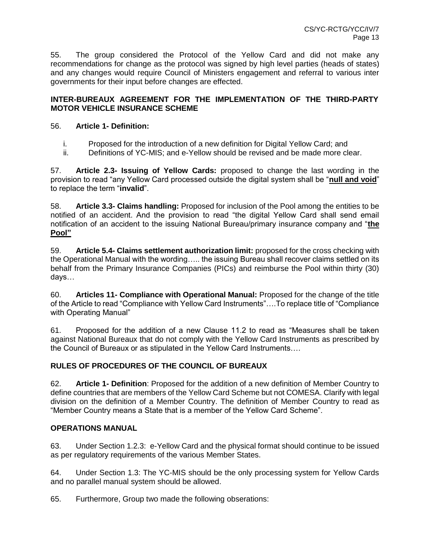55. The group considered the Protocol of the Yellow Card and did not make any recommendations for change as the protocol was signed by high level parties (heads of states) and any changes would require Council of Ministers engagement and referral to various inter governments for their input before changes are effected.

# **INTER-BUREAUX AGREEMENT FOR THE IMPLEMENTATION OF THE THIRD-PARTY MOTOR VEHICLE INSURANCE SCHEME**

# 56. **Article 1- Definition:**

- i. Proposed for the introduction of a new definition for Digital Yellow Card; and
- ii. Definitions of YC-MIS; and e-Yellow should be revised and be made more clear.

57. **Article 2.3- Issuing of Yellow Cards:** proposed to change the last wording in the provision to read "any Yellow Card processed outside the digital system shall be "**null and void**" to replace the term "**invalid**".

58. **Article 3.3- Claims handling:** Proposed for inclusion of the Pool among the entities to be notified of an accident. And the provision to read "the digital Yellow Card shall send email notification of an accident to the issuing National Bureau/primary insurance company and "**the Pool"**

59. **Article 5.4- Claims settlement authorization limit:** proposed for the cross checking with the Operational Manual with the wording….. the issuing Bureau shall recover claims settled on its behalf from the Primary Insurance Companies (PICs) and reimburse the Pool within thirty (30) days…

60. **Articles 11- Compliance with Operational Manual:** Proposed for the change of the title of the Article to read "Compliance with Yellow Card Instruments"….To replace title of "Compliance with Operating Manual"

61. Proposed for the addition of a new Clause 11.2 to read as "Measures shall be taken against National Bureaux that do not comply with the Yellow Card Instruments as prescribed by the Council of Bureaux or as stipulated in the Yellow Card Instruments….

# **RULES OF PROCEDURES OF THE COUNCIL OF BUREAUX**

62. **Article 1- Definition**: Proposed for the addition of a new definition of Member Country to define countries that are members of the Yellow Card Scheme but not COMESA. Clarify with legal division on the definition of a Member Country. The definition of Member Country to read as "Member Country means a State that is a member of the Yellow Card Scheme".

# **OPERATIONS MANUAL**

63. Under Section 1.2.3: e-Yellow Card and the physical format should continue to be issued as per regulatory requirements of the various Member States.

64. Under Section 1.3: The YC-MIS should be the only processing system for Yellow Cards and no parallel manual system should be allowed.

65. Furthermore, Group two made the following obserations: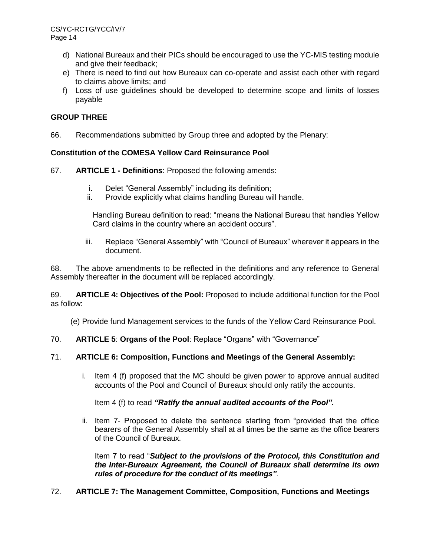- d) National Bureaux and their PICs should be encouraged to use the YC-MIS testing module and give their feedback;
- e) There is need to find out how Bureaux can co-operate and assist each other with regard to claims above limits; and
- f) Loss of use guidelines should be developed to determine scope and limits of losses payable

# **GROUP THREE**

66. Recommendations submitted by Group three and adopted by the Plenary:

# **Constitution of the COMESA Yellow Card Reinsurance Pool**

67. **ARTICLE 1 - Definitions**: Proposed the following amends:

- i. Delet "General Assembly" including its definition;
- ii. Provide explicitly what claims handling Bureau will handle.

Handling Bureau definition to read: "means the National Bureau that handles Yellow Card claims in the country where an accident occurs".

iii. Replace "General Assembly" with "Council of Bureaux" wherever it appears in the document.

68. The above amendments to be reflected in the definitions and any reference to General Assembly thereafter in the document will be replaced accordingly.

69. **ARTICLE 4: Objectives of the Pool:** Proposed to include additional function for the Pool as follow:

(e) Provide fund Management services to the funds of the Yellow Card Reinsurance Pool.

70. **ARTICLE 5**: **Organs of the Pool**: Replace "Organs" with "Governance"

# 71. **ARTICLE 6: Composition, Functions and Meetings of the General Assembly:**

i. Item 4 (f) proposed that the MC should be given power to approve annual audited accounts of the Pool and Council of Bureaux should only ratify the accounts.

Item 4 (f) to read *"Ratify the annual audited accounts of the Pool".*

ii. Item 7- Proposed to delete the sentence starting from "provided that the office bearers of the General Assembly shall at all times be the same as the office bearers of the Council of Bureaux.

Item 7 to read "*Subject to the provisions of the Protocol, this Constitution and the Inter-Bureaux Agreement, the Council of Bureaux shall determine its own rules of procedure for the conduct of its meetings"*.

72. **ARTICLE 7: The Management Committee, Composition, Functions and Meetings**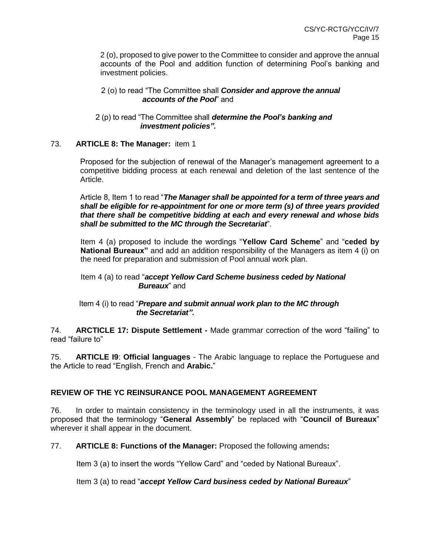2 (o), proposed to give power to the Committee to consider and approve the annual accounts of the Pool and addition function of determining Pool's banking and investment policies.

#### 2 (o) to read "The Committee shall *Consider and approve the annual accounts of the Pool*" and

#### 2 (p) to read "The Committee shall *determine the Pool's banking and investment policies".*

# 73. **ARTICLE 8: The Manager:** item 1

Proposed for the subjection of renewal of the Manager's management agreement to a competitive bidding process at each renewal and deletion of the last sentence of the Article.

Article 8, Item 1 to read "*The Manager shall be appointed for a term of three years and shall be eligible for re-appointment for one or more term (s) of three years provided that there shall be competitive bidding at each and every renewal and whose bids shall be submitted to the MC through the Secretariat*".

Item 4 (a) proposed to include the wordings "**Yellow Card Scheme**" and "**ceded by National Bureaux**" and add an addition responsibility of the Managers as item 4 (i) on the need for preparation and submission of Pool annual work plan.

#### Item 4 (a) to read "*accept Yellow Card Scheme business ceded by National Bureaux*" and

# Item 4 (i) to read "*Prepare and submit annual work plan to the MC through the Secretariat".*

74. **ARCTICLE 17: Dispute Settlement -** Made grammar correction of the word "failing" to read "failure to"

75. **ARTICLE I9**: **Official languages** - The Arabic language to replace the Portuguese and the Article to read "English, French and **Arabic.**"

# **REVIEW OF THE YC REINSURANCE POOL MANAGEMENT AGREEMENT**

76. In order to maintain consistency in the terminology used in all the instruments, it was proposed that the terminology "**General Assembly**" be replaced with "**Council of Bureaux**" wherever it shall appear in the document.

77. **ARTICLE 8: Functions of the Manager:** Proposed the following amends**:**

Item 3 (a) to insert the words "Yellow Card" and "ceded by National Bureaux".

Item 3 (a) to read "*accept Yellow Card business ceded by National Bureaux*"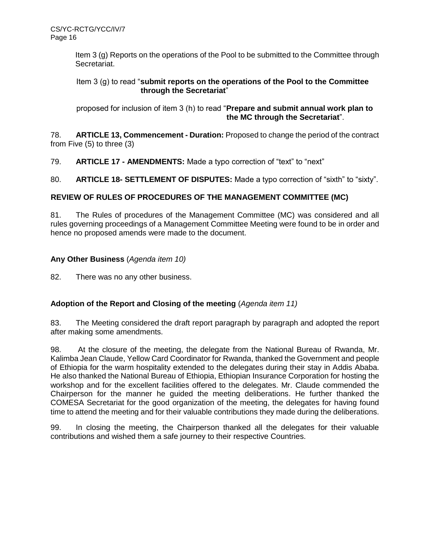Item 3 (g) Reports on the operations of the Pool to be submitted to the Committee through Secretariat.

# Item 3 (g) to read "**submit reports on the operations of the Pool to the Committee through the Secretariat**"

 proposed for inclusion of item 3 (h) to read "**Prepare and submit annual work plan to the MC through the Secretariat**".

78. **ARTICLE 13, Commencement - Duration:** Proposed to change the period of the contract from Five (5) to three (3)

79. **ARTICLE 17 - AMENDMENTS:** Made a typo correction of "text" to "next"

80. **ARTICLE 18- SETTLEMENT OF DISPUTES:** Made a typo correction of "sixth" to "sixty".

# **REVIEW OF RULES OF PROCEDURES OF THE MANAGEMENT COMMITTEE (MC)**

81. The Rules of procedures of the Management Committee (MC) was considered and all rules governing proceedings of a Management Committee Meeting were found to be in order and hence no proposed amends were made to the document.

# **Any Other Business** (*Agenda item 10)*

82. There was no any other business.

# **Adoption of the Report and Closing of the meeting** (*Agenda item 11)*

83. The Meeting considered the draft report paragraph by paragraph and adopted the report after making some amendments.

98. At the closure of the meeting, the delegate from the National Bureau of Rwanda, Mr. Kalimba Jean Claude, Yellow Card Coordinator for Rwanda, thanked the Government and people of Ethiopia for the warm hospitality extended to the delegates during their stay in Addis Ababa. He also thanked the National Bureau of Ethiopia, Ethiopian Insurance Corporation for hosting the workshop and for the excellent facilities offered to the delegates. Mr. Claude commended the Chairperson for the manner he guided the meeting deliberations. He further thanked the COMESA Secretariat for the good organization of the meeting, the delegates for having found time to attend the meeting and for their valuable contributions they made during the deliberations.

99. In closing the meeting, the Chairperson thanked all the delegates for their valuable contributions and wished them a safe journey to their respective Countries.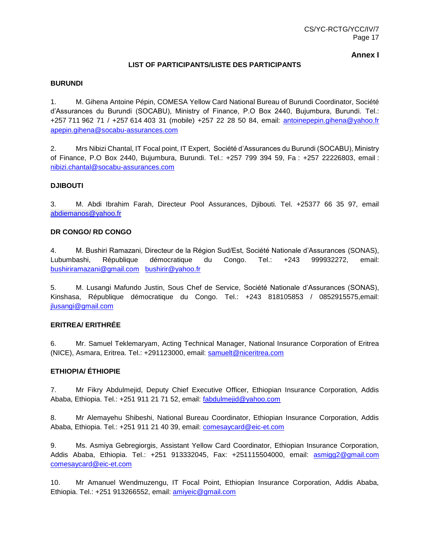**Annex I**

#### **LIST OF PARTICIPANTS/LISTE DES PARTICIPANTS**

#### **BURUNDI**

1. M. Gihena Antoine Pépin, COMESA Yellow Card National Bureau of Burundi Coordinator, Société d'Assurances du Burundi (SOCABU), Ministry of Finance, P.O Box 2440, Bujumbura, Burundi. Tel.: +257 711 962 71 / +257 614 403 31 (mobile) +257 22 28 50 84, email: [antoinepepin.gihena@yahoo.fr](mailto:antoinepepin.gihena@yahoo.fr) [apepin.gihena@socabu-assurances.com](mailto:apepin.gihena@socabu-assurances.com)

2. Mrs Nibizi Chantal, IT Focal point, IT Expert, Société d'Assurances du Burundi (SOCABU), Ministry of Finance, P.O Box 2440, Bujumbura, Burundi. Tel.: +257 799 394 59, Fa : +257 22226803, email : [nibizi.chantal@socabu-assurances.com](mailto:nibizi.chantal@socabu-assurances.com)

#### **DJIBOUTI**

3. M. Abdi Ibrahim Farah, Directeur Pool Assurances, Djibouti. Tel. +25377 66 35 97, email [abdiemanos@yahoo.fr](mailto:abdiemanos@yahoo.fr)

#### **DR CONGO/ RD CONGO**

4. M. Bushiri Ramazani, Directeur de la Région Sud/Est, Société Nationale d'Assurances (SONAS), Lubumbashi, République démocratique du Congo. Tel.: +243 999932272, email: [bushiriramazani@gmail.com](mailto:bushiriramazani@gmail.com) [bushirir@yahoo.fr](mailto:bushirir@yahoo.fr)

5. M. Lusangi Mafundo Justin, Sous Chef de Service, Société Nationale d'Assurances (SONAS), Kinshasa, République démocratique du Congo. Tel.: +243 818105853 / 0852915575,email: [jlusangi@gmail.com](mailto:jlusangi@gmail.com)

#### **ERITREA/ ERITHRÉE**

6. Mr. Samuel Teklemaryam, Acting Technical Manager, National Insurance Corporation of Eritrea (NICE), Asmara, Eritrea. Tel.: +291123000, email: [samuelt@niceritrea.com](mailto:samuelt@niceritrea.com)

#### **ETHIOPIA/ ÉTHIOPIE**

7. Mr Fikry Abdulmejid, Deputy Chief Executive Officer, Ethiopian Insurance Corporation, Addis Ababa, Ethiopia. Tel.: +251 911 21 71 52, email: [fabdulmejid@yahoo.com](mailto:fabdulmejid@yahoo.com)

8. Mr Alemayehu Shibeshi, National Bureau Coordinator, Ethiopian Insurance Corporation, Addis Ababa, Ethiopia. Tel.: +251 911 21 40 39, email: [comesaycard@eic-et.com](mailto:comesaycard@eic-et.com)

9. Ms. Asmiya Gebregiorgis, Assistant Yellow Card Coordinator, Ethiopian Insurance Corporation, Addis Ababa, Ethiopia. Tel.: +251 913332045, Fax: +251115504000, email: [asmigg2@gmail.com](mailto:asmigg2@gmail.com) [comesaycard@eic-et.com](mailto:comesaycard@eic-et.com)

10. Mr Amanuel Wendmuzengu, IT Focal Point, Ethiopian Insurance Corporation, Addis Ababa, Ethiopia. Tel.: +251 913266552, email: [amiyeic@gmail.com](mailto:amiyeic@gmail.com)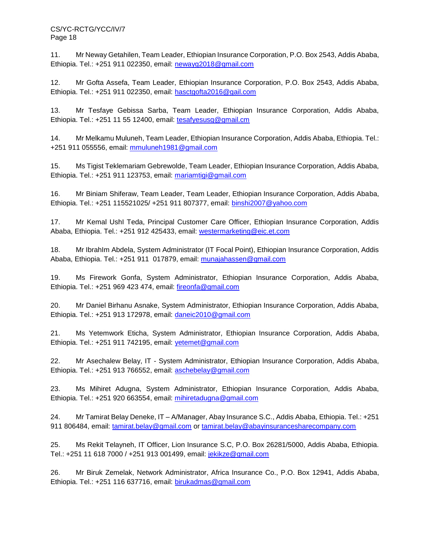CS/YC-RCTG/YCC/IV/7 Page 18

11. Mr Neway Getahilen, Team Leader, Ethiopian Insurance Corporation, P.O. Box 2543, Addis Ababa, Ethiopia. Tel.: +251 911 022350, email: [newayg2018@gmail.com](mailto:newayg2018@gmail.com)

12. Mr Gofta Assefa, Team Leader, Ethiopian Insurance Corporation, P.O. Box 2543, Addis Ababa, Ethiopia. Tel.: +251 911 022350, email: [hasctgofta2016@gail.com](mailto:hasctgofta2016@gail.com)

13. Mr Tesfaye Gebissa Sarba, Team Leader, Ethiopian Insurance Corporation, Addis Ababa, Ethiopia. Tel.: +251 11 55 12400, email: [tesafyesusg@gmail.cm](mailto:tesafyesusg@gmail.cm)

14. Mr Melkamu Muluneh, Team Leader, Ethiopian Insurance Corporation, Addis Ababa, Ethiopia. Tel.: +251 911 055556, email: [mmuluneh1981@gmail.com](mailto:mmuluneh1981@gmail.com)

15. Ms Tigist Teklemariam Gebrewolde, Team Leader, Ethiopian Insurance Corporation, Addis Ababa, Ethiopia. Tel.: +251 911 123753, email: [mariamtigi@gmail.com](mailto:mariamtigi@gmail.com)

16. Mr Biniam Shiferaw, Team Leader, Team Leader, Ethiopian Insurance Corporation, Addis Ababa, Ethiopia. Tel.: +251 115521025/ +251 911 807377, email: [binshi2007@yahoo.com](mailto:binshi2007@yahoo.com)

17. Mr Kemal UshI Teda, Principal Customer Care Officer, Ethiopian Insurance Corporation, Addis Ababa, Ethiopia. Tel.: +251 912 425433, email: [westermarketing@eic.et.com](mailto:westermarketing@eic.et.com)

18. Mr IbrahIm Abdela, System Administrator (IT Focal Point), Ethiopian Insurance Corporation, Addis Ababa, Ethiopia. Tel.: +251 911 017879, email: [munajahassen@gmail.com](mailto:munajahassen@gmail.com)

19. Ms Firework Gonfa, System Administrator, Ethiopian Insurance Corporation, Addis Ababa, Ethiopia. Tel.: +251 969 423 474, email: [fireonfa@gmail.com](mailto:fireonfa@gmail.com)

20. Mr Daniel Birhanu Asnake, System Administrator, Ethiopian Insurance Corporation, Addis Ababa, Ethiopia. Tel.: +251 913 172978, email: [daneic2010@gmail.com](mailto:daneic2010@gmail.com)

21. Ms Yetemwork Eticha, System Administrator, Ethiopian Insurance Corporation, Addis Ababa, Ethiopia. Tel.: +251 911 742195, email: [yetemet@gmail.com](mailto:yetemet@gmail.com)

22. Mr Asechalew Belay, IT - System Administrator, Ethiopian Insurance Corporation, Addis Ababa, Ethiopia. Tel.: +251 913 766552, email: [aschebelay@gmail.com](mailto:aschebelay@gmail.com)

23. Ms Mihiret Adugna, System Administrator, Ethiopian Insurance Corporation, Addis Ababa, Ethiopia. Tel.: +251 920 663554, email: [mihiretadugna@gmail.com](mailto:mihiretadugna@gmail.com)

24. Mr Tamirat Belay Deneke, IT – A/Manager, Abay Insurance S.C., Addis Ababa, Ethiopia. Tel.: +251 911 806484, email: [tamirat.belay@gmail.com](mailto:tamirat.belay@gmail.com) or [tamirat.belay@abayinsurancesharecompany.com](mailto:tamirat.belay@abayinsurancesharecompany.com)

25. Ms Rekit Telayneh, IT Officer, Lion Insurance S.C, P.O. Box 26281/5000, Addis Ababa, Ethiopia. Tel.: +251 11 618 7000 / +251 913 001499, email: [jekikze@gmail.com](mailto:jekikze@gmail.com)

26. Mr Biruk Zemelak, Network Administrator, Africa Insurance Co., P.O. Box 12941, Addis Ababa, Ethiopia. Tel.: +251 116 637716, email: [birukadmas@gmail.com](mailto:birukadmas@gmail.com)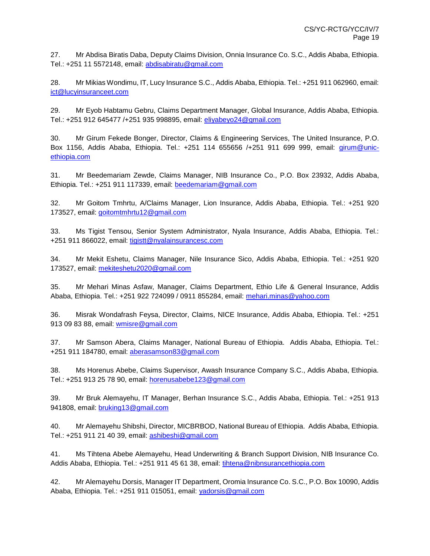27. Mr Abdisa Biratis Daba, Deputy Claims Division, Onnia Insurance Co. S.C., Addis Ababa, Ethiopia. Tel.: +251 11 5572148, email: [abdisabiratu@gmail.com](mailto:abdisabiratu@gmail.com)

28. Mr Mikias Wondimu, IT, Lucy Insurance S.C., Addis Ababa, Ethiopia. Tel.: +251 911 062960, email: [ict@lucyinsuranceet.com](mailto:ict@lucyinsuranceet.com)

29. Mr Eyob Habtamu Gebru, Claims Department Manager, Global Insurance, Addis Ababa, Ethiopia. Tel.: +251 912 645477 /+251 935 998895, email: [eliyabeyo24@gmail.com](mailto:eliyabeyo24@gmail.com)

30. Mr Girum Fekede Bonger, Director, Claims & Engineering Services, The United Insurance, P.O. Box 1156, Addis Ababa, Ethiopia. Tel.: +251 114 655656 /+251 911 699 999, email: [girum@unic](mailto:girum@unic-ethiopia.com)[ethiopia.com](mailto:girum@unic-ethiopia.com)

31. Mr Beedemariam Zewde, Claims Manager, NIB Insurance Co., P.O. Box 23932, Addis Ababa, Ethiopia. Tel.: +251 911 117339, email: [beedemariam@gmail.com](mailto:beedemariam@gmail.com)

32. Mr Goitom Tmhrtu, A/Claims Manager, Lion Insurance, Addis Ababa, Ethiopia. Tel.: +251 920 173527, email: [goitomtmhrtu12@gmail.com](mailto:goitomtmhrtu12@gmail.com)

33. Ms Tigist Tensou, Senior System Administrator, Nyala Insurance, Addis Ababa, Ethiopia. Tel.: +251 911 866022, email: [tigistt@nyalainsurancesc.com](mailto:tigistt@nyalainsurancesc.com)

34. Mr Mekit Eshetu, Claims Manager, Nile Insurance Sico, Addis Ababa, Ethiopia. Tel.: +251 920 173527, email: [mekiteshetu2020@gmail.com](mailto:mekiteshetu2020@gmail.com)

35. Mr Mehari Minas Asfaw, Manager, Claims Department, Ethio Life & General Insurance, Addis Ababa, Ethiopia. Tel.: +251 922 724099 / 0911 855284, email: [mehari.minas@yahoo.com](mailto:mehari.minas@yahoo.com)

36. Misrak Wondafrash Feysa, Director, Claims, NICE Insurance, Addis Ababa, Ethiopia. Tel.: +251 913 09 83 88, email: [wmisre@gmail.com](mailto:wmisre@gmail.com)

37. Mr Samson Abera, Claims Manager, National Bureau of Ethiopia. Addis Ababa, Ethiopia. Tel.: +251 911 184780, email: [aberasamson83@gmail.com](mailto:aberasamson83@gmail.com)

38. Ms Horenus Abebe, Claims Supervisor, Awash Insurance Company S.C., Addis Ababa, Ethiopia. Tel.: +251 913 25 78 90, email: [horenusabebe123@gmail.com](mailto:horenusabebe123@gmail.com)

39. Mr Bruk Alemayehu, IT Manager, Berhan Insurance S.C., Addis Ababa, Ethiopia. Tel.: +251 913 941808, email: [bruking13@gmail.com](mailto:bruking13@gmail.com)

40. Mr Alemayehu Shibshi, Director, MICBRBOD, National Bureau of Ethiopia. Addis Ababa, Ethiopia. Tel.: +251 911 21 40 39, email: [ashibeshi@gmail.com](mailto:ashibeshi@gmail.com)

41. Ms Tihtena Abebe Alemayehu, Head Underwriting & Branch Support Division, NIB Insurance Co. Addis Ababa, Ethiopia. Tel.: +251 911 45 61 38, email: [tihtena@nibnsurancethiopia.com](mailto:tihtena@nibnsurancethiopia.com)

42. Mr Alemayehu Dorsis, Manager IT Department, Oromia Insurance Co. S.C., P.O. Box 10090, Addis Ababa, Ethiopia. Tel.: +251 911 015051, email: [yadorsis@gmail.com](mailto:yadorsis@gmail.com)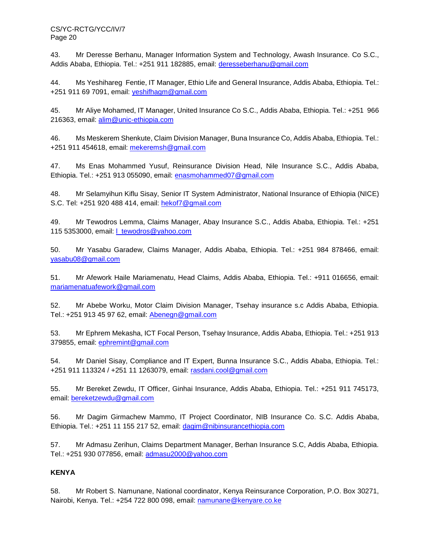CS/YC-RCTG/YCC/IV/7 Page 20

43. Mr Deresse Berhanu, Manager Information System and Technology, Awash Insurance. Co S.C., Addis Ababa, Ethiopia. Tel.: +251 911 182885, email: [deresseberhanu@gmail.com](mailto:deresseberhanu@gmail.com)

44. Ms Yeshihareg Fentie, IT Manager, Ethio Life and General Insurance, Addis Ababa, Ethiopia. Tel.: +251 911 69 7091, email: [yeshifhagm@gmail.com](mailto:yeshifhagm@gmail.com)

45. Mr Aliye Mohamed, IT Manager, United Insurance Co S.C., Addis Ababa, Ethiopia. Tel.: +251 966 216363, email: [alim@unic-ethiopia.com](mailto:alim@unic-ethiopia.com)

46. Ms Meskerem Shenkute, Claim Division Manager, Buna Insurance Co, Addis Ababa, Ethiopia. Tel.: +251 911 454618, email: [mekeremsh@gmail.com](mailto:mekeremsh@gmail.com)

47. Ms Enas Mohammed Yusuf, Reinsurance Division Head, Nile Insurance S.C., Addis Ababa, Ethiopia. Tel.: +251 913 055090, email: [enasmohammed07@gmail.com](mailto:enasmohammed07@gmail.com)

48. Mr Selamyihun Kiflu Sisay, Senior IT System Administrator, National Insurance of Ethiopia (NICE) S.C. Tel: +251 920 488 414, email: [hekof7@gmail.com](mailto:hekof7@gmail.com)

49. Mr Tewodros Lemma, Claims Manager, Abay Insurance S.C., Addis Ababa, Ethiopia. Tel.: +251 115 5353000, email: [l\\_tewodros@yahoo.com](mailto:l_tewodros@yahoo.com)

50. Mr Yasabu Garadew, Claims Manager, Addis Ababa, Ethiopia. Tel.: +251 984 878466, email: [yasabu08@gmail.com](mailto:yasabu08@gmail.com)

51. Mr Afework Haile Mariamenatu, Head Claims, Addis Ababa, Ethiopia. Tel.: +911 016656, email: [mariamenatuafework@gmail.com](mailto:mariamenatuafework@gmail.com)

52. Mr Abebe Worku, Motor Claim Division Manager, Tsehay insurance s.c Addis Ababa, Ethiopia. Tel.: +251 913 45 97 62, email: [Abenegn@gmail.com](mailto:Abenegn@gmail.com)

53. Mr Ephrem Mekasha, ICT Focal Person, Tsehay Insurance, Addis Ababa, Ethiopia. Tel.: +251 913 379855, email: [ephremint@gmail.com](mailto:ephremint@gmail.com)

54. Mr Daniel Sisay, Compliance and IT Expert, Bunna Insurance S.C., Addis Ababa, Ethiopia. Tel.: +251 911 113324 / +251 11 1263079, email: [rasdani.cool@gmail.com](mailto:rasdani.cool@gmail.com)

55. Mr Bereket Zewdu, IT Officer, Ginhai Insurance, Addis Ababa, Ethiopia. Tel.: +251 911 745173, email: [bereketzewdu@gmail.com](mailto:bereketzewdu@gmail.com)

56. Mr Dagim Girmachew Mammo, IT Project Coordinator, NIB Insurance Co. S.C. Addis Ababa, Ethiopia. Tel.: +251 11 155 217 52, email: [dagim@nibinsurancethiopia.com](mailto:dagim@nibinsurancethiopia.com)

57. Mr Admasu Zerihun, Claims Department Manager, Berhan Insurance S.C, Addis Ababa, Ethiopia. Tel.: +251 930 077856, email: [admasu2000@yahoo.com](mailto:admasu2000@yahoo.com)

# **KENYA**

58. Mr Robert S. Namunane, National coordinator, Kenya Reinsurance Corporation, P.O. Box 30271, Nairobi, Kenya. Tel.: +254 722 800 098, email: [namunane@kenyare.co.ke](mailto:namunane@kenyare.co.ke)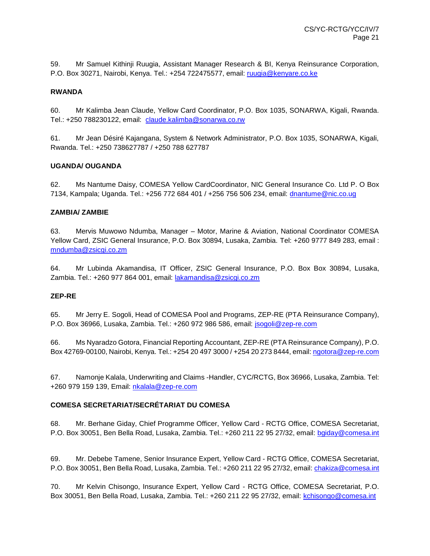59. Mr Samuel Kithinji Ruugia, Assistant Manager Research & BI, Kenya Reinsurance Corporation, P.O. Box 30271, Nairobi, Kenya. Tel.: +254 722475577, email: [ruugia@kenyare.co.ke](mailto:ruugia@kenyare.co.ke)

#### **RWANDA**

60. Mr Kalimba Jean Claude, Yellow Card Coordinator, P.O. Box 1035, SONARWA, Kigali, Rwanda. Tel.: +250 788230122, email: [claude.kalimba@sonarwa.co.rw](mailto:claude.kalimba@sonarwa.co.rw)

61. Mr Jean Désiré Kajangana, System & Network Administrator, P.O. Box 1035, SONARWA, Kigali, Rwanda. Tel.: +250 738627787 / +250 788 627787

#### **UGANDA/ OUGANDA**

62. Ms Nantume Daisy, COMESA Yellow CardCoordinator, NIC General Insurance Co. Ltd P. O Box 7134, Kampala; Uganda. Tel.: +256 772 684 401 / +256 756 506 234, email: [dnantume@nic.co.ug](mailto:dnantume@nic.co.ug)

#### **ZAMBIA/ ZAMBIE**

63. Mervis Muwowo Ndumba, Manager – Motor, Marine & Aviation, National Coordinator COMESA Yellow Card, ZSIC General Insurance, P.O. Box 30894, Lusaka, Zambia. Tel: +260 9777 849 283, email : [mndumba@zsicgi.co.zm](mailto:mndumba@zsicgi.co.zm)

64. Mr Lubinda Akamandisa, IT Officer, ZSIC General Insurance, P.O. Box Box 30894, Lusaka, Zambia. Tel.: +260 977 864 001, email: [lakamandisa@zsicgi.co.zm](mailto:lakamandisa@zsicgi.co.zm)

#### **ZEP-RE**

65. Mr Jerry E. Sogoli, Head of COMESA Pool and Programs, ZEP-RE (PTA Reinsurance Company), P.O. Box 36966, Lusaka, Zambia. Tel.: +260 972 986 586, email: [jsogoli@zep-re.com](mailto:jsogoli@zep-re.com)

66. Ms Nyaradzo Gotora, Financial Reporting Accountant, ZEP-RE (PTA Reinsurance Company), P.O. Box 42769-00100, Nairobi, Kenya. Tel.: +254 20 497 3000 / +254 20 273 8444, email: [ngotora@zep-re.com](mailto:ngotora@zep-re.com)

67. Namonje Kalala, Underwriting and Claims -Handler, CYC/RCTG, Box 36966, Lusaka, Zambia. Tel: +260 979 159 139, Email: [nkalala@zep-re.com](mailto:nkalala@zep-re.com)

#### **COMESA SECRETARIAT/SECRÉTARIAT DU COMESA**

68. Mr. Berhane Giday, Chief Programme Officer, Yellow Card - RCTG Office, COMESA Secretariat, P.O. Box 30051, Ben Bella Road, Lusaka, Zambia. Tel.: +260 211 22 95 27/32, email: [bgiday@comesa.int](mailto:bgiday@comesa.int)

69. Mr. Debebe Tamene, Senior Insurance Expert, Yellow Card - RCTG Office, COMESA Secretariat, P.O. Box 30051, Ben Bella Road, Lusaka, Zambia. Tel.: +260 211 22 95 27/32, email[: chakiza@comesa.int](mailto:chakiza@comesa.int)

70. Mr Kelvin Chisongo, Insurance Expert, Yellow Card - RCTG Office, COMESA Secretariat, P.O. Box 30051, Ben Bella Road, Lusaka, Zambia. Tel.: +260 211 22 95 27/32, email: [kchisongo@comesa.int](mailto:kchisongo@comesa.int)